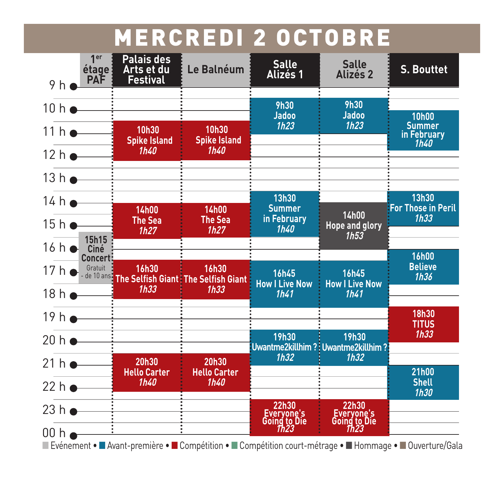#### **MERCREDI 2 OCTOBRE**

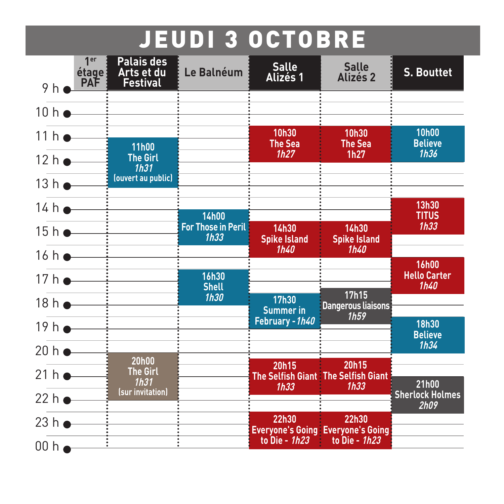### **JEUDI 3 OCTOBRE**

| 9h                               | 1 <sub>er</sub><br>étage<br><b>PAF</b> | <b>Palais des</b><br>Arts et du<br><b>Festival</b>      | Le Balnéum                        | <b>Salle</b><br><b>Alizés 1</b>             | <b>Salle</b><br><b>Alizés 2</b>                                     | <b>S. Bouttet</b>                                  |
|----------------------------------|----------------------------------------|---------------------------------------------------------|-----------------------------------|---------------------------------------------|---------------------------------------------------------------------|----------------------------------------------------|
|                                  |                                        | $10 h \bullet$ $\longrightarrow$                        |                                   |                                             |                                                                     |                                                    |
| $11h$ $\longrightarrow$          |                                        | <b>11h00</b>                                            |                                   | 10h30<br><b>The Sea</b><br>1h27             | <b>10h30</b><br><b>The Sea</b><br>1h27                              | <b>10h00</b><br><b>Believe</b><br>1h36             |
| $12h$ $\rightarrow$<br>$13h$ $-$ |                                        | <b>The Girl</b><br>1h31<br>(ouvert au public)           |                                   |                                             |                                                                     |                                                    |
| $14 h$ $\longrightarrow$         |                                        |                                                         | <b>14h00</b>                      |                                             |                                                                     | 13h30<br><b>TITUS</b>                              |
|                                  |                                        | $15 h \bullet - \frac{1}{2}$<br>$16h$ $\longrightarrow$ | <b>For Those in Peril</b><br>1h33 | <b>14h30</b><br><b>Spike Island</b><br>1h40 | 14h30<br><b>Spike Island</b><br>1h40                                | 1h33                                               |
|                                  |                                        | $17 h \bullet \longrightarrow$                          | <b>16h30</b><br><b>Shell</b>      |                                             |                                                                     | <b>16h00</b><br><b>Hello Carter</b><br><b>1h40</b> |
|                                  |                                        | $18h$ $\longrightarrow$                                 | <b>1h30</b>                       | <b>17h30</b><br><b>Summer in</b>            | 17h15<br><b>Dangerous liaisons</b><br>1h59                          |                                                    |
|                                  |                                        | $19 h \bullet \frac{1}{1}$                              |                                   | February - 1h40                             |                                                                     | <b>18h30</b><br><b>Believe</b><br>1h34             |
| $20 h \rightarrow$<br>21h        |                                        | <b>20h00</b><br><b>The Girl</b>                         |                                   | 20h15                                       | 20h15<br>The Selfish Giant The Selfish Giant                        |                                                    |
| 22 h                             |                                        | 1h31<br>(sur invitation)                                |                                   | 1h33                                        | 1h33                                                                | 21h00<br><b>Sherlock Holmes</b><br><b>2h09</b>     |
| $23h$ $\bullet$                  |                                        |                                                         |                                   | 22h30<br>to Die - 1h23                      | 22h30<br><b>Everyone's Going: Everyone's Going</b><br>to Die - 1h23 |                                                    |
|                                  |                                        |                                                         |                                   |                                             |                                                                     |                                                    |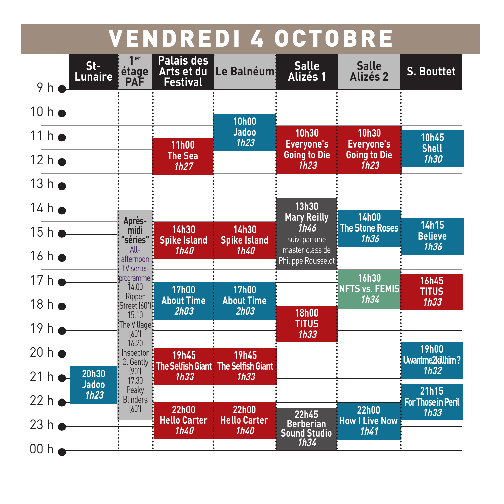### **VENDREDI 4 OCTOBRE**

| 9 <sub>h</sub>           | $St-$<br><b>Lunaire</b> | 1er<br>étage<br><b>PAF</b>               | <b>Palais des</b><br>Arts et du<br>Festival | Le Balnéum                                  | <b>Salle</b><br>Alizés 1                         | <b>Salle</b><br><b>Alizés 2</b>                       | <b>S. Bouttet</b>                       |
|--------------------------|-------------------------|------------------------------------------|---------------------------------------------|---------------------------------------------|--------------------------------------------------|-------------------------------------------------------|-----------------------------------------|
| $10 h$ $\rightharpoonup$ |                         |                                          |                                             | <b>10h00</b>                                |                                                  |                                                       |                                         |
| $11h$ $\bullet$          |                         |                                          | <b>11h00</b>                                | <b>Jadoo</b><br>1h23                        | <b>10h30</b><br><b>Everyone's</b>                | 10h30<br><b>Everyone's</b>                            | <b>10h45</b>                            |
|                          | 12h                     |                                          | <b>The Sea</b><br>1h27                      |                                             | <b>Going to Die</b><br>1h23                      | <b>Going to Die</b><br>1h23                           | <b>Shell</b><br><b>1h30</b>             |
| 13 h                     |                         |                                          |                                             |                                             |                                                  |                                                       |                                         |
| $14 h$ $-$               |                         |                                          |                                             |                                             | 13h30                                            |                                                       |                                         |
| $15h$ $\longrightarrow$  |                         | Après-<br>midi<br>'séries"               | 14h30<br><b>Spike Island</b>                | <b>14h30</b><br><b>Spike Island</b>         | <b>Mary Reilly</b><br>1h46<br>suivi par une      | <b>14h00</b><br><b>The Stone Roses</b><br><b>1h36</b> | 14h15<br><b>Believe</b>                 |
| $16h$ $\longrightarrow$  |                         | $All-$<br>afternoon                      | 1h40                                        | 1h40                                        | master class de<br>Philippe Rousselot            |                                                       | 1h36                                    |
| $17h$ $\bullet$          |                         | <b>TV</b> series<br>:programme:<br>14.00 | <b>17h00</b>                                | <b>17h00</b>                                |                                                  | <b>16h30</b><br><b>NFTS vs. FEMIS</b>                 | <b>16h45</b>                            |
| 18h                      |                         | Ripper<br>:Street (60'):                 | <b>About Time</b>                           | <b>About Time</b>                           |                                                  | 1h34                                                  | <b>TITUS</b><br>1h33                    |
| $19h$ $\rightarrow$      |                         | 15.10<br>:The Village:<br>(60)           | 2h03                                        | <b>2h03</b>                                 | <b>18h00</b><br><b>TITUS</b><br>1h33             |                                                       |                                         |
| $20 h$ $\bullet$         |                         | 16.20<br>: Inspector :<br>G. Gently      | <b>19h45</b>                                | <b>19h45</b>                                |                                                  |                                                       | <b>19h00</b><br><b>Uwantme2killhim?</b> |
| 21h                      | 20h30<br><b>Jadoo</b>   | (90')<br>17.30                           | <b>The Selfish Giant:</b><br>1h33           | <b>The Selfish Giant</b><br>1h33            |                                                  |                                                       | 1h32                                    |
| 22h                      | 1h23                    | Peaky<br><b>Blinders</b>                 |                                             |                                             |                                                  |                                                       | 21h15<br><b>For Those in Peril</b>      |
| 23h                      |                         | (60')                                    | <b>22h00</b><br><b>Hello Carter</b><br>1h40 | <b>22h00</b><br><b>Hello Carter</b><br>1h40 | 22h45<br><b>Berberian</b><br><b>Sound Studio</b> | <b>22h00</b><br><b>How I Live Now</b><br>1h41         | 1h33                                    |
| 00 h                     |                         |                                          |                                             |                                             | 1h34                                             |                                                       |                                         |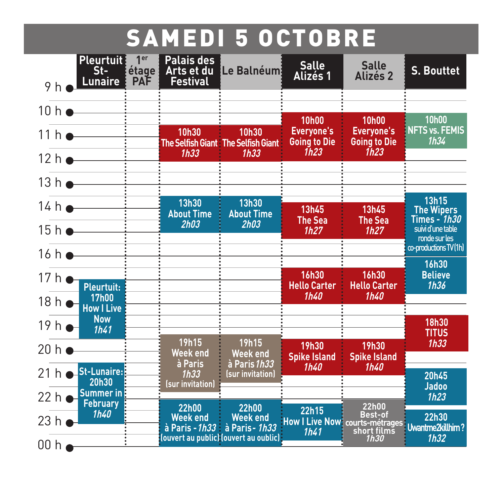# **SAMEDI 5 OCTOBRE**

| <b>Pleurtuit!</b><br>1 <sup>er</sup><br>St-<br>étage<br><b>Lunaire</b><br><b>PAF</b><br>9 <sub>h</sub> | <b>Palais des</b><br>Arts et du<br>Festival | Le Balnéum                                                                                                                                      | <b>Salle</b><br><b>Alizés 1</b>                                  | <b>Salle</b><br><b>Alizés 2</b>                                          | <b>S. Bouttet</b>                                  |
|--------------------------------------------------------------------------------------------------------|---------------------------------------------|-------------------------------------------------------------------------------------------------------------------------------------------------|------------------------------------------------------------------|--------------------------------------------------------------------------|----------------------------------------------------|
| $10 h$ $\longrightarrow$                                                                               |                                             |                                                                                                                                                 |                                                                  |                                                                          |                                                    |
| $11h$ $\bullet$                                                                                        | 10h30                                       | 10h30<br><b>The Selfish Giant The Selfish Giant</b><br>1h33                                                                                     | <b>10h00</b><br><b>Everyone's</b><br><b>Going to Die</b><br>1h23 | <b>10h00</b><br><b>Everyone's</b><br><b>Going to Die</b><br>1h23         | <b>10h00</b><br><b>NFTS vs. FEMIS</b><br>1h34      |
| 12h                                                                                                    | 1h33                                        |                                                                                                                                                 |                                                                  |                                                                          |                                                    |
| $13 h$ $\longrightarrow$                                                                               |                                             |                                                                                                                                                 |                                                                  |                                                                          |                                                    |
| 14h                                                                                                    | <b>13h30</b><br><b>About Time</b>           | 13h30<br><b>About Time</b>                                                                                                                      | 13h45<br><b>The Sea</b>                                          | <b>13h45</b><br><b>The Sea</b>                                           | 13h15<br><b>The Wipers</b><br>Times – 1 <i>h30</i> |
| $15h$ $\longrightarrow$                                                                                | 2h03                                        | 2h03                                                                                                                                            | 1h27                                                             | 1h27                                                                     | suivi d'une table<br>ronde sur les                 |
| $16h$ $\longrightarrow$                                                                                |                                             |                                                                                                                                                 |                                                                  |                                                                          | co-productions TV(1h)<br><b>16h30</b>              |
| 17h<br><b>Pleurtuit:</b>                                                                               |                                             |                                                                                                                                                 | <b>16h30</b><br><b>Hello Carter</b>                              | <b>16h30</b><br><b>Hello Carter</b>                                      | <b>Believe</b><br>1h36                             |
| <b>17h00</b><br>18h<br><b>How I Live</b>                                                               |                                             |                                                                                                                                                 | 1h40                                                             | 1h40                                                                     |                                                    |
| <b>Now</b><br>19h<br>1h41                                                                              |                                             |                                                                                                                                                 |                                                                  |                                                                          | <b>18h30</b><br><b>TITUS</b>                       |
| 20h                                                                                                    | <b>19h15</b><br><b>Week end</b>             | 19h15<br><b>Week end</b>                                                                                                                        | <b>19h30</b><br><b>Spike Island</b>                              | <b>19h30</b><br><b>Spike Island</b>                                      | 1h33                                               |
| <b>St-Lunaire:</b><br>21h<br><b>20h30</b>                                                              | à Paris<br>1h33                             | à Paris 1h33<br>(sur invitation)                                                                                                                | 1h40                                                             | 1h40                                                                     | 20h45                                              |
| <b>Summer in</b><br>22h<br><b>February</b>                                                             | (sur invitation)                            |                                                                                                                                                 |                                                                  |                                                                          | <b>Jadoo</b><br>1h23                               |
| 1h40<br>23h                                                                                            | <b>22h00</b><br><b>Week end</b>             | <b>22h00</b><br><b>Week end</b><br>à Paris - 1h33 à Paris - 1h33<br>$\left\{ \right\}$ (ouvert au public) (ouvert au oublic) $\left\{ \right\}$ | 22h15<br><b>How I Live Now!</b><br>1h41                          | <b>22h00</b><br><b>Best-of</b><br>courts-métrages<br>short films<br>1h30 | 22h30<br>Uwantme2killhim?<br>1h32                  |
| 00 h                                                                                                   |                                             |                                                                                                                                                 |                                                                  |                                                                          |                                                    |